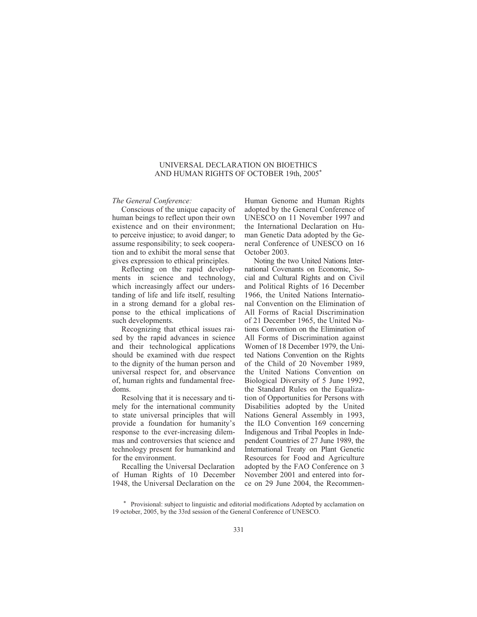# UNIVERSAL DECLARATION ON BIOETHICS AND HUMAN RIGHTS OF OCTOBER 19th, 2005\*

### *The General Conference:*

Conscious of the unique capacity of human beings to reflect upon their own existence and on their environment; to perceive injustice; to avoid danger; to assume responsibility; to seek cooperation and to exhibit the moral sense that gives expression to ethical principles.

Reflecting on the rapid developments in science and technology, which increasingly affect our understanding of life and life itself, resulting in a strong demand for a global response to the ethical implications of such developments.

Recognizing that ethical issues raised by the rapid advances in science and their technological applications should be examined with due respect to the dignity of the human person and universal respect for, and observance of, human rights and fundamental freedoms.

Resolving that it is necessary and timely for the international community to state universal principles that will provide a foundation for humanity's response to the ever-increasing dilemmas and controversies that science and technology present for humankind and for the environment.

Recalling the Universal Declaration of Human Rights of 10 December 1948, the Universal Declaration on the

Human Genome and Human Rights adopted by the General Conference of UNESCO on 11 November 1997 and the International Declaration on Human Genetic Data adopted by the General Conference of UNESCO on 16 October 2003.

Noting the two United Nations International Covenants on Economic, Social and Cultural Rights and on Civil and Political Rights of 16 December 1966, the United Nations International Convention on the Elimination of All Forms of Racial Discrimination of 21 December 1965, the United Nations Convention on the Elimination of All Forms of Discrimination against Women of 18 December 1979, the United Nations Convention on the Rights of the Child of 20 November 1989, the United Nations Convention on Biological Diversity of 5 June 1992, the Standard Rules on the Equalization of Opportunities for Persons with Disabilities adopted by the United Nations General Assembly in 1993, the ILO Convention 169 concerning Indigenous and Tribal Peoples in Independent Countries of 27 June 1989, the International Treaty on Plant Genetic Resources for Food and Agriculture adopted by the FAO Conference on 3 November 2001 and entered into force on 29 June 2004, the Recommen-

Provisional: subject to linguistic and editorial modifications Adopted by acclamation on 19 october, 2005, by the 33rd session of the General Conference of UNESCO.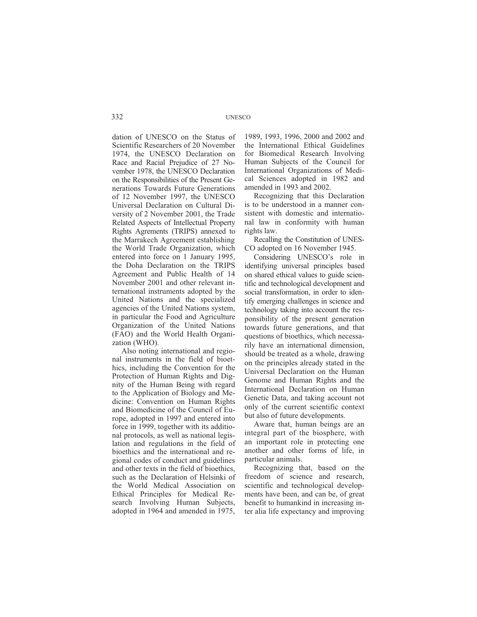dation of UNESCO on the Status of Scientific Researchers of 20 November 1974, the UNESCO Declaration on Race and Racial Prejudice of 27 November 1978, the UNESCO Declaration on the Responsibilities of the Present Generations Towards Future Generations of 12 November 1997, the UNESCO Universal Declaration on Cultural Diversity of 2 November 2001, the Trade Related Aspects of Intellectual Property Rights Agrements (TRIPS) annexed to the Marrakech Agreement establishing the World Trade Organization, which entered into force on 1 January 1995, the Doha Declaration on the TRIPS Agreement and Public Health of 14 November 2001 and other relevant international instruments adopted by the United Nations and the specialized agencies of the United Nations system, in particular the Food and Agriculture Organization of the United Nations (FAO) and the World Health Organization (WHO).

Also noting international and regional instruments in the field of bioethics, including the Convention for the Protection of Human Rights and Dignity of the Human Being with regard to the Application of Biology and Medicine: Convention on Human Rights and Biomedicine of the Council of Europe, adopted in 1997 and entered into force in 1999, together with its additional protocols, as well as national legislation and regulations in the field of bioethics and the international and regional codes of conduct and guidelines and other texts in the field of bioethics, such as the Declaration of Helsinki of the World Medical Association on Ethical Principles for Medical Research Involving Human Subjects, adopted in 1964 and amended in 1975,

1989, 1993, 1996, 2000 and 2002 and the International Ethical Guidelines for Biomedical Research Involving Human Subjects of the Council for International Organizations of Medical Sciences adopted in 1982 and amended in 1993 and 2002.

Recognizing that this Declaration is to be understood in a manner consistent with domestic and international law in conformity with human rights law.

Recalling the Constitution of UNES-CO adopted on 16 November 1945.

Considering UNESCO's role in identifying universal principles based on shared ethical values to guide scientific and technological development and social transformation, in order to identify emerging challenges in science and technology taking into account the responsibility of the present generation towards future generations, and that questions of bioethics, which necessarily have an international dimension, should be treated as a whole, drawing on the principles already stated in the Universal Declaration on the Human Genome and Human Rights and the International Declaration on Human Genetic Data, and taking account not only of the current scientific context but also of future developments.

Aware that, human beings are an integral part of the biosphere, with an important role in protecting one another and other forms of life, in particular animals.

Recognizing that, based on the freedom of science and research, scientific and technological developments have been, and can be, of great benefit to humankind in increasing inter alia life expectancy and improving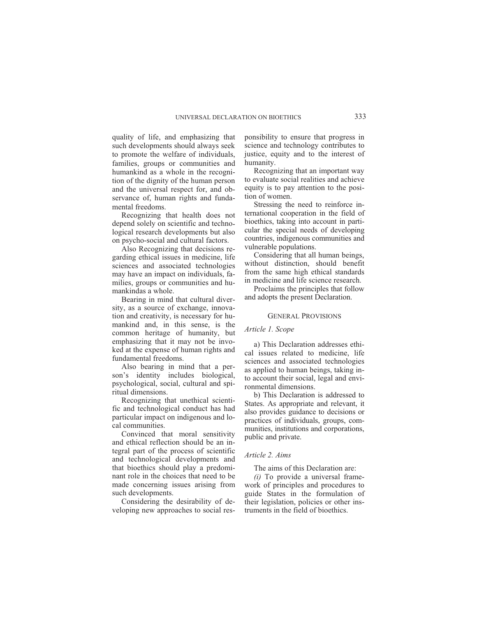quality of life, and emphasizing that such developments should always seek to promote the welfare of individuals, families, groups or communities and humankind as a whole in the recognition of the dignity of the human person and the universal respect for, and observance of, human rights and fundamental freedoms.

Recognizing that health does not depend solely on scientific and technological research developments but also on psycho-social and cultural factors.

Also Recognizing that decisions regarding ethical issues in medicine, life sciences and associated technologies may have an impact on individuals, families, groups or communities and humankindas a whole.

Bearing in mind that cultural diversity, as a source of exchange, innovation and creativity, is necessary for humankind and, in this sense, is the common heritage of humanity, but emphasizing that it may not be invoked at the expense of human rights and fundamental freedoms.

Also bearing in mind that a person's identity includes biological, psychological, social, cultural and spiritual dimensions.

Recognizing that unethical scientific and technological conduct has had particular impact on indigenous and local communities.

Convinced that moral sensitivity and ethical reflection should be an integral part of the process of scientific and technological developments and that bioethics should play a predominant role in the choices that need to be made concerning issues arising from such developments.

Considering the desirability of developing new approaches to social res-

ponsibility to ensure that progress in science and technology contributes to justice, equity and to the interest of humanity.

Recognizing that an important way to evaluate social realities and achieve equity is to pay attention to the position of women.

Stressing the need to reinforce international cooperation in the field of bioethics, taking into account in particular the special needs of developing countries, indigenous communities and vulnerable populations.

Considering that all human beings, without distinction, should benefit from the same high ethical standards in medicine and life science research.

Proclaims the principles that follow and adopts the present Declaration.

#### GENERAL PROVISIONS

#### *Article 1. Scope*

a) This Declaration addresses ethical issues related to medicine, life sciences and associated technologies as applied to human beings, taking into account their social, legal and environmental dimensions.

b) This Declaration is addressed to States. As appropriate and relevant, it also provides guidance to decisions or practices of individuals, groups, communities, institutions and corporations, public and private.

### *Article 2. Aims*

The aims of this Declaration are:

*(i)* To provide a universal framework of principles and procedures to guide States in the formulation of their legislation, policies or other instruments in the field of bioethics.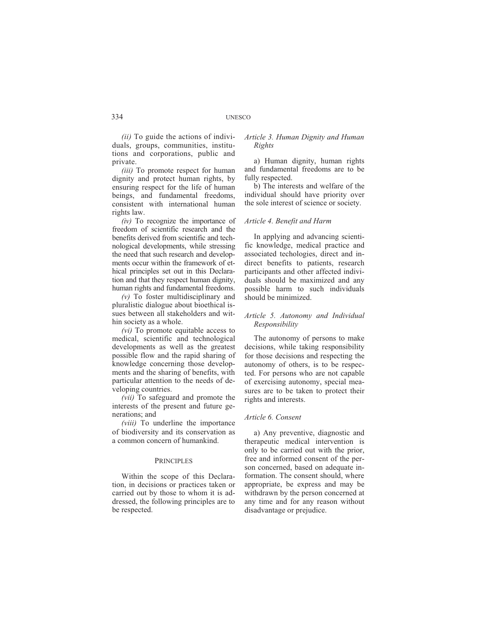*(ii)* To guide the actions of individuals, groups, communities, institutions and corporations, public and private.

*(iii)* To promote respect for human dignity and protect human rights, by ensuring respect for the life of human beings, and fundamental freedoms, consistent with international human rights law.

*(iv)* To recognize the importance of freedom of scientific research and the benefits derived from scientific and technological developments, while stressing the need that such research and developments occur within the framework of ethical principles set out in this Declaration and that they respect human dignity, human rights and fundamental freedoms.

*(v)* To foster multidisciplinary and pluralistic dialogue about bioethical issues between all stakeholders and within society as a whole.

*(vi)* To promote equitable access to medical, scientific and technological developments as well as the greatest possible flow and the rapid sharing of knowledge concerning those developments and the sharing of benefits, with particular attention to the needs of developing countries.

*(vii)* To safeguard and promote the interests of the present and future generations; and

*(viii)* To underline the importance of biodiversity and its conservation as a common concern of humankind.

#### **PRINCIPLES**

Within the scope of this Declaration, in decisions or practices taken or carried out by those to whom it is addressed, the following principles are to be respected.

## *Article 3. Human Dignity and Human Rights*

a) Human dignity, human rights and fundamental freedoms are to be fully respected.

b) The interests and welfare of the individual should have priority over the sole interest of science or society.

### *Article 4. Benefit and Harm*

In applying and advancing scientific knowledge, medical practice and associated techologies, direct and indirect benefits to patients, research participants and other affected individuals should be maximized and any possible harm to such individuals should be minimized.

## *Article 5. Autonomy and Individual Responsibility*

The autonomy of persons to make decisions, while taking responsibility for those decisions and respecting the autonomy of others, is to be respected. For persons who are not capable of exercising autonomy, special measures are to be taken to protect their rights and interests.

#### *Article 6. Consent*

a) Any preventive, diagnostic and therapeutic medical intervention is only to be carried out with the prior, free and informed consent of the person concerned, based on adequate information. The consent should, where appropriate, be express and may be withdrawn by the person concerned at any time and for any reason without disadvantage or prejudice.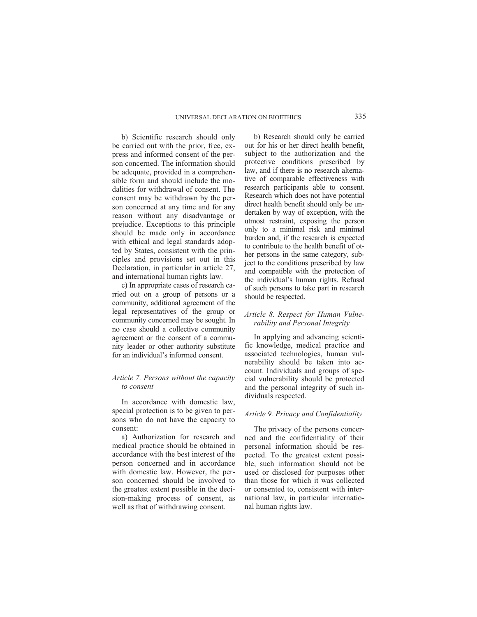b) Scientific research should only be carried out with the prior, free, express and informed consent of the person concerned. The information should be adequate, provided in a comprehensible form and should include the modalities for withdrawal of consent. The consent may be withdrawn by the person concerned at any time and for any reason without any disadvantage or prejudice. Exceptions to this principle should be made only in accordance with ethical and legal standards adopted by States, consistent with the principles and provisions set out in this Declaration, in particular in article 27, and international human rights law.

c) In appropriate cases of research carried out on a group of persons or a community, additional agreement of the legal representatives of the group or community concerned may be sought. In no case should a collective community agreement or the consent of a community leader or other authority substitute for an individual's informed consent.

# *Article 7. Persons without the capacity to consent*

In accordance with domestic law, special protection is to be given to persons who do not have the capacity to consent:

a) Authorization for research and medical practice should be obtained in accordance with the best interest of the person concerned and in accordance with domestic law. However, the person concerned should be involved to the greatest extent possible in the decision-making process of consent, as well as that of withdrawing consent.

b) Research should only be carried out for his or her direct health benefit, subject to the authorization and the protective conditions prescribed by law, and if there is no research alternative of comparable effectiveness with research participants able to consent. Research which does not have potential direct health benefit should only be undertaken by way of exception, with the utmost restraint, exposing the person only to a minimal risk and minimal burden and, if the research is expected to contribute to the health benefit of other persons in the same category, subject to the conditions prescribed by law and compatible with the protection of the individual's human rights. Refusal of such persons to take part in research should be respected.

# *Article 8. Respect for Human Vulnerability and Personal Integrity*

In applying and advancing scientific knowledge, medical practice and associated technologies, human vulnerability should be taken into account. Individuals and groups of special vulnerability should be protected and the personal integrity of such individuals respected.

#### *Article 9. Privacy and Confidentiality*

The privacy of the persons concerned and the confidentiality of their personal information should be respected. To the greatest extent possible, such information should not be used or disclosed for purposes other than those for which it was collected or consented to, consistent with international law, in particular international human rights law.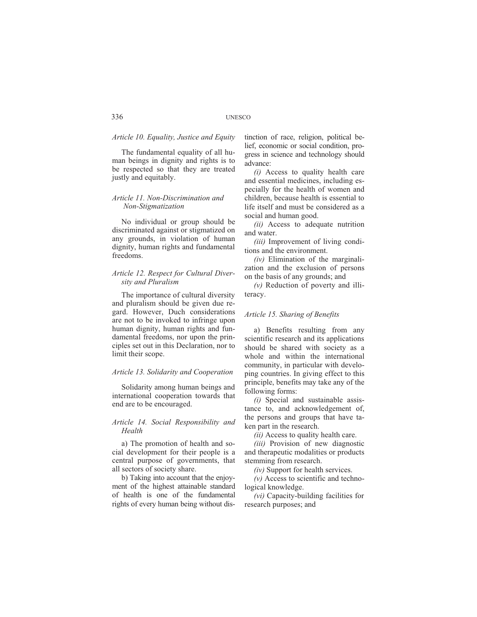#### *Article 10. Equality, Justice and Equity*

The fundamental equality of all human beings in dignity and rights is to be respected so that they are treated justly and equitably.

# *Article 11. Non-Discrimination and Non-Stigmatization*

No individual or group should be discriminated against or stigmatized on any grounds, in violation of human dignity, human rights and fundamental freedoms.

## *Article 12. Respect for Cultural Diversity and Pluralism*

The importance of cultural diversity and pluralism should be given due regard. However, Duch considerations are not to be invoked to infringe upon human dignity, human rights and fundamental freedoms, nor upon the principles set out in this Declaration, nor to limit their scope.

#### *Article 13. Solidarity and Cooperation*

Solidarity among human beings and international cooperation towards that end are to be encouraged.

### *Article 14. Social Responsibility and Health*

a) The promotion of health and social development for their people is a central purpose of governments, that all sectors of society share.

b) Taking into account that the enjoyment of the highest attainable standard of health is one of the fundamental rights of every human being without distinction of race, religion, political belief, economic or social condition, progress in science and technology should advance:

*(i)* Access to quality health care and essential medicines, including especially for the health of women and children, because health is essential to life itself and must be considered as a social and human good.

*(ii)* Access to adequate nutrition and water.

*(iii)* Improvement of living conditions and the environment.

*(iv)* Elimination of the marginalization and the exclusion of persons on the basis of any grounds; and

*(v)* Reduction of poverty and illiteracy.

### *Article 15. Sharing of Benefits*

a) Benefits resulting from any scientific research and its applications should be shared with society as a whole and within the international community, in particular with developing countries. In giving effect to this principle, benefits may take any of the following forms:

*(i)* Special and sustainable assistance to, and acknowledgement of, the persons and groups that have taken part in the research.

*(ii)* Access to quality health care.

*(iii)* Provision of new diagnostic and therapeutic modalities or products stemming from research.

*(iv)* Support for health services.

*(v)* Access to scientific and technological knowledge.

*(vi)* Capacity-building facilities for research purposes; and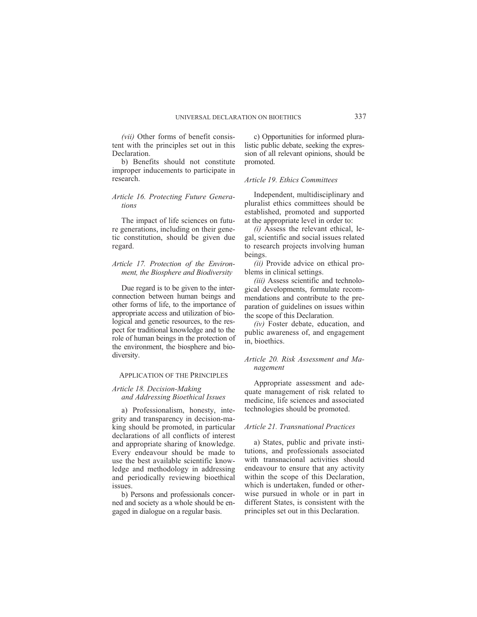*(vii)* Other forms of benefit consistent with the principles set out in this Declaration.

b) Benefits should not constitute improper inducements to participate in research.

### *Article 16. Protecting Future Generations*

The impact of life sciences on future generations, including on their genetic constitution, should be given due regard.

## *Article 17. Protection of the Environment, the Biosphere and Biodiversity*

Due regard is to be given to the interconnection between human beings and other forms of life, to the importance of appropriate access and utilization of biological and genetic resources, to the respect for traditional knowledge and to the role of human beings in the protection of the environment, the biosphere and biodiversity.

#### APPLICATION OF THE PRINCIPLES

# *Article 18. Decision-Making and Addressing Bioethical Issues*

a) Professionalism, honesty, integrity and transparency in decision-making should be promoted, in particular declarations of all conflicts of interest and appropriate sharing of knowledge. Every endeavour should be made to use the best available scientific knowledge and methodology in addressing and periodically reviewing bioethical issues.

b) Persons and professionals concerned and society as a whole should be engaged in dialogue on a regular basis.

c) Opportunities for informed pluralistic public debate, seeking the expression of all relevant opinions, should be promoted.

## *Article 19. Ethics Committees*

Independent, multidisciplinary and pluralist ethics committees should be established, promoted and supported at the appropriate level in order to:

*(i)* Assess the relevant ethical, legal, scientific and social issues related to research projects involving human beings.

*(ii)* Provide advice on ethical problems in clinical settings.

*(iii)* Assess scientific and technological developments, formulate recommendations and contribute to the preparation of guidelines on issues within the scope of this Declaration.

*(iv)* Foster debate, education, and public awareness of, and engagement in, bioethics.

### *Article 20. Risk Assessment and Management*

Appropriate assessment and adequate management of risk related to medicine, life sciences and associated technologies should be promoted.

# *Article 21. Transnational Practices*

a) States, public and private institutions, and professionals associated with transnacional activities should endeavour to ensure that any activity within the scope of this Declaration, which is undertaken, funded or otherwise pursued in whole or in part in different States, is consistent with the principles set out in this Declaration.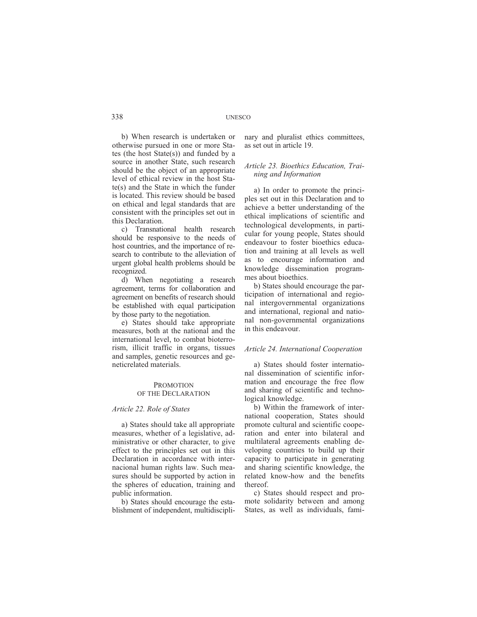b) When research is undertaken or otherwise pursued in one or more States (the host State(s)) and funded by a source in another State, such research should be the object of an appropriate level of ethical review in the host State(s) and the State in which the funder is located. This review should be based on ethical and legal standards that are consistent with the principles set out in this Declaration.

c) Transnational health research should be responsive to the needs of host countries, and the importance of research to contribute to the alleviation of urgent global health problems should be recognized.

d) When negotiating a research agreement, terms for collaboration and agreement on benefits of research should be established with equal participation by those party to the negotiation.

e) States should take appropriate measures, both at the national and the international level, to combat bioterrorism, illicit traffic in organs, tissues and samples, genetic resources and geneticrelated materials.

### **PROMOTION** OF THE DECLARATION

### *Article 22. Role of States*

a) States should take all appropriate measures, whether of a legislative, administrative or other character, to give effect to the principles set out in this Declaration in accordance with internacional human rights law. Such measures should be supported by action in the spheres of education, training and public information.

b) States should encourage the establishment of independent, multidisciplinary and pluralist ethics committees, as set out in article 19.

# *Article 23. Bioethics Education, Training and Information*

a) In order to promote the principles set out in this Declaration and to achieve a better understanding of the ethical implications of scientific and technological developments, in particular for young people, States should endeavour to foster bioethics education and training at all levels as well as to encourage information and knowledge dissemination programmes about bioethics.

b) States should encourage the participation of international and regional intergovernmental organizations and international, regional and national non-governmental organizations in this endeavour.

# *Article 24. International Cooperation*

a) States should foster international dissemination of scientific information and encourage the free flow and sharing of scientific and technological knowledge.

b) Within the framework of international cooperation, States should promote cultural and scientific cooperation and enter into bilateral and multilateral agreements enabling developing countries to build up their capacity to participate in generating and sharing scientific knowledge, the related know-how and the benefits thereof.

c) States should respect and promote solidarity between and among States, as well as individuals, fami